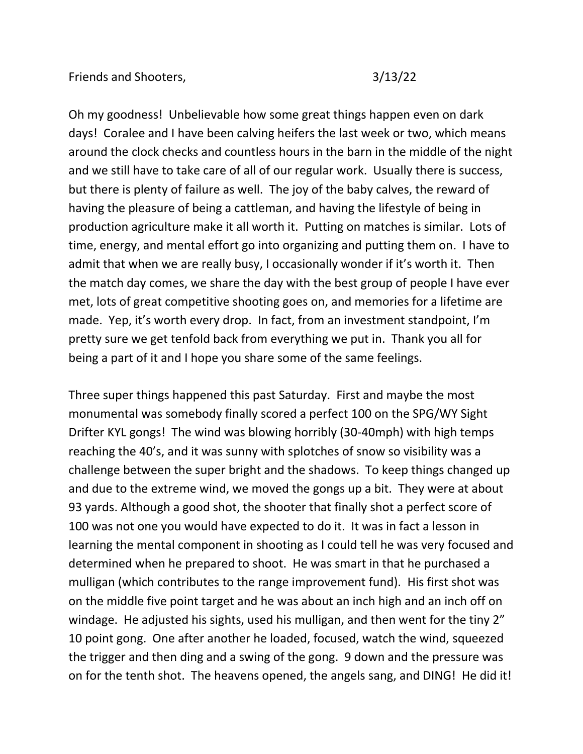Oh my goodness! Unbelievable how some great things happen even on dark days! Coralee and I have been calving heifers the last week or two, which means around the clock checks and countless hours in the barn in the middle of the night and we still have to take care of all of our regular work. Usually there is success, but there is plenty of failure as well. The joy of the baby calves, the reward of having the pleasure of being a cattleman, and having the lifestyle of being in production agriculture make it all worth it. Putting on matches is similar. Lots of time, energy, and mental effort go into organizing and putting them on. I have to admit that when we are really busy, I occasionally wonder if it's worth it. Then the match day comes, we share the day with the best group of people I have ever met, lots of great competitive shooting goes on, and memories for a lifetime are made. Yep, it's worth every drop. In fact, from an investment standpoint, I'm pretty sure we get tenfold back from everything we put in. Thank you all for being a part of it and I hope you share some of the same feelings.

Three super things happened this past Saturday. First and maybe the most monumental was somebody finally scored a perfect 100 on the SPG/WY Sight Drifter KYL gongs! The wind was blowing horribly (30-40mph) with high temps reaching the 40's, and it was sunny with splotches of snow so visibility was a challenge between the super bright and the shadows. To keep things changed up and due to the extreme wind, we moved the gongs up a bit. They were at about 93 yards. Although a good shot, the shooter that finally shot a perfect score of 100 was not one you would have expected to do it. It was in fact a lesson in learning the mental component in shooting as I could tell he was very focused and determined when he prepared to shoot. He was smart in that he purchased a mulligan (which contributes to the range improvement fund). His first shot was on the middle five point target and he was about an inch high and an inch off on windage. He adjusted his sights, used his mulligan, and then went for the tiny 2" 10 point gong. One after another he loaded, focused, watch the wind, squeezed the trigger and then ding and a swing of the gong. 9 down and the pressure was on for the tenth shot. The heavens opened, the angels sang, and DING! He did it!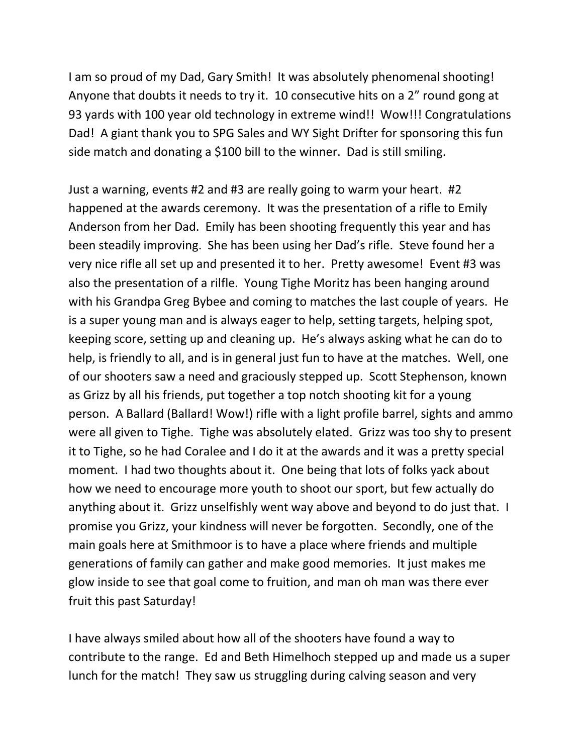I am so proud of my Dad, Gary Smith! It was absolutely phenomenal shooting! Anyone that doubts it needs to try it. 10 consecutive hits on a 2" round gong at 93 yards with 100 year old technology in extreme wind!! Wow!!! Congratulations Dad! A giant thank you to SPG Sales and WY Sight Drifter for sponsoring this fun side match and donating a \$100 bill to the winner. Dad is still smiling.

Just a warning, events #2 and #3 are really going to warm your heart. #2 happened at the awards ceremony. It was the presentation of a rifle to Emily Anderson from her Dad. Emily has been shooting frequently this year and has been steadily improving. She has been using her Dad's rifle. Steve found her a very nice rifle all set up and presented it to her. Pretty awesome! Event #3 was also the presentation of a rilfle. Young Tighe Moritz has been hanging around with his Grandpa Greg Bybee and coming to matches the last couple of years. He is a super young man and is always eager to help, setting targets, helping spot, keeping score, setting up and cleaning up. He's always asking what he can do to help, is friendly to all, and is in general just fun to have at the matches. Well, one of our shooters saw a need and graciously stepped up. Scott Stephenson, known as Grizz by all his friends, put together a top notch shooting kit for a young person. A Ballard (Ballard! Wow!) rifle with a light profile barrel, sights and ammo were all given to Tighe. Tighe was absolutely elated. Grizz was too shy to present it to Tighe, so he had Coralee and I do it at the awards and it was a pretty special moment. I had two thoughts about it. One being that lots of folks yack about how we need to encourage more youth to shoot our sport, but few actually do anything about it. Grizz unselfishly went way above and beyond to do just that. I promise you Grizz, your kindness will never be forgotten. Secondly, one of the main goals here at Smithmoor is to have a place where friends and multiple generations of family can gather and make good memories. It just makes me glow inside to see that goal come to fruition, and man oh man was there ever fruit this past Saturday!

I have always smiled about how all of the shooters have found a way to contribute to the range. Ed and Beth Himelhoch stepped up and made us a super lunch for the match! They saw us struggling during calving season and very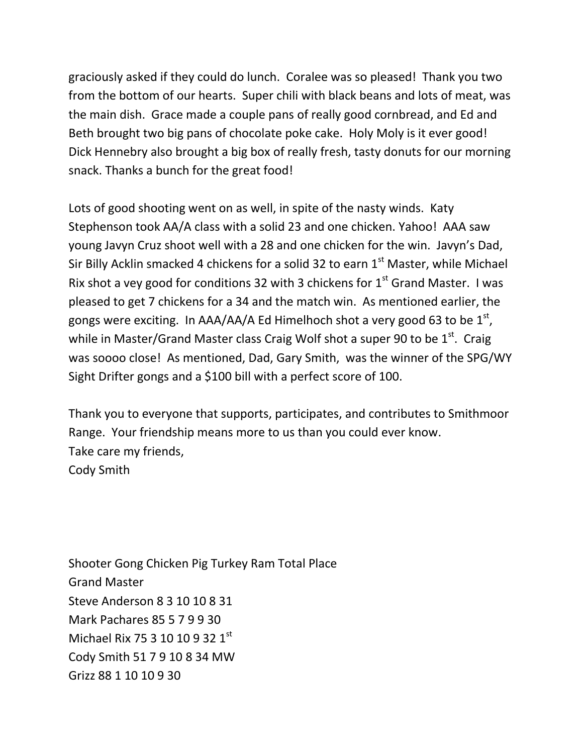graciously asked if they could do lunch. Coralee was so pleased! Thank you two from the bottom of our hearts. Super chili with black beans and lots of meat, was the main dish. Grace made a couple pans of really good cornbread, and Ed and Beth brought two big pans of chocolate poke cake. Holy Moly is it ever good! Dick Hennebry also brought a big box of really fresh, tasty donuts for our morning snack. Thanks a bunch for the great food!

Lots of good shooting went on as well, in spite of the nasty winds. Katy Stephenson took AA/A class with a solid 23 and one chicken. Yahoo! AAA saw young Javyn Cruz shoot well with a 28 and one chicken for the win. Javyn's Dad, Sir Billy Acklin smacked 4 chickens for a solid 32 to earn  $1<sup>st</sup>$  Master, while Michael Rix shot a vey good for conditions 32 with 3 chickens for  $1<sup>st</sup>$  Grand Master. I was pleased to get 7 chickens for a 34 and the match win. As mentioned earlier, the gongs were exciting. In AAA/AA/A Ed Himelhoch shot a very good 63 to be  $1^\text{st}$ , while in Master/Grand Master class Craig Wolf shot a super 90 to be 1<sup>st</sup>. Craig was soooo close! As mentioned, Dad, Gary Smith, was the winner of the SPG/WY Sight Drifter gongs and a \$100 bill with a perfect score of 100.

Thank you to everyone that supports, participates, and contributes to Smithmoor Range. Your friendship means more to us than you could ever know. Take care my friends, Cody Smith

Shooter Gong Chicken Pig Turkey Ram Total Place Grand Master Steve Anderson 8 3 10 10 8 31 Mark Pachares 85 5 7 9 9 30 Michael Rix 75 3 10 10 9 32 1st Cody Smith 51 7 9 10 8 34 MW Grizz 88 1 10 10 9 30